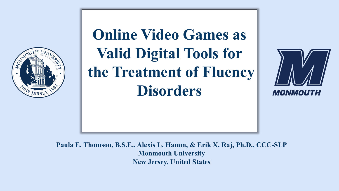

# **Online Video Games as Valid Digital Tools for the Treatment of Fluency Disorders**



**Paula E. Thomson, B.S.E., Alexis L. Hamm, & Erik X. Raj, Ph.D., CCC-SLP Monmouth University New Jersey, United States**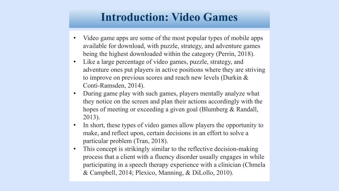#### **Introduction: Video Games**

- Video game apps are some of the most popular types of mobile apps available for download, with puzzle, strategy, and adventure games being the highest downloaded within the category (Perrin, 2018).
- Like a large percentage of video games, puzzle, strategy, and adventure ones put players in active positions where they are striving to improve on previous scores and reach new levels (Durkin & Conti-Ramsden, 2014).
- During game play with such games, players mentally analyze what they notice on the screen and plan their actions accordingly with the hopes of meeting or exceeding a given goal (Blumberg & Randall, 2013).
- In short, these types of video games allow players the opportunity to make, and reflect upon, certain decisions in an effort to solve a particular problem (Tran, 2018).
- This concept is strikingly similar to the reflective decision-making process that a client with a fluency disorder usually engages in while participating in a speech therapy experience with a clinician (Chmela & Campbell, 2014; Plexico, Manning, & DiLollo, 2010).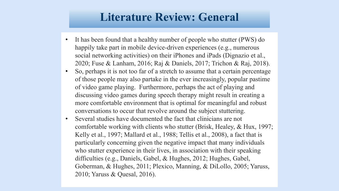#### **Literature Review: General**

- It has been found that a healthy number of people who stutter (PWS) do happily take part in mobile device-driven experiences (e.g., numerous social networking activities) on their iPhones and iPads (Dignazio et al., 2020; Fuse & Lanham, 2016; Raj & Daniels, 2017; Trichon & Raj, 2018).
- So, perhaps it is not too far of a stretch to assume that a certain percentage of those people may also partake in the ever increasingly, popular pastime of video game playing. Furthermore, perhaps the act of playing and discussing video games during speech therapy might result in creating a more comfortable environment that is optimal for meaningful and robust conversations to occur that revolve around the subject stuttering.
- Several studies have documented the fact that clinicians are not comfortable working with clients who stutter (Brisk, Healey, & Hux, 1997; Kelly et al., 1997; Mallard et al., 1988; Tellis et al., 2008), a fact that is particularly concerning given the negative impact that many individuals who stutter experience in their lives, in association with their speaking difficulties (e.g., Daniels, Gabel, & Hughes, 2012; Hughes, Gabel, Goberman, & Hughes, 2011; Plexico, Manning, & DiLollo, 2005; Yaruss, 2010; Yaruss & Quesal, 2016).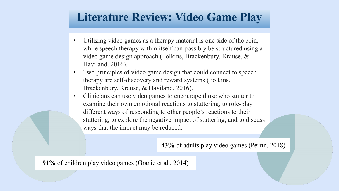#### **Literature Review: Video Game Play**

- Utilizing video games as a therapy material is one side of the coin, while speech therapy within itself can possibly be structured using a video game design approach (Folkins, Brackenbury, Krause, & Haviland, 2016).
- Two principles of video game design that could connect to speech therapy are self-discovery and reward systems (Folkins, Brackenbury, Krause, & Haviland, 2016).
- Clinicians can use video games to encourage those who stutter to examine their own emotional reactions to stuttering, to role-play different ways of responding to other people's reactions to their stuttering, to explore the negative impact of stuttering, and to discuss ways that the impact may be reduced.

**43%** of adults play video games (Perrin, 2018)

**91%** of children play video games (Granic et al., 2014)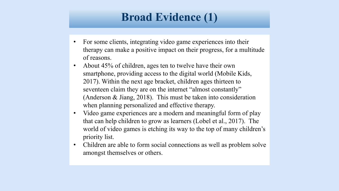### **Broad Evidence (1)**

- For some clients, integrating video game experiences into their therapy can make a positive impact on their progress, for a multitude of reasons.
- About 45% of children, ages ten to twelve have their own smartphone, providing access to the digital world (Mobile Kids, 2017). Within the next age bracket, children ages thirteen to seventeen claim they are on the internet "almost constantly" (Anderson & Jiang, 2018). This must be taken into consideration when planning personalized and effective therapy.
- Video game experiences are a modern and meaningful form of play that can help children to grow as learners (Lobel et al., 2017). The world of video games is etching its way to the top of many children's priority list.
- Children are able to form social connections as well as problem solve amongst themselves or others.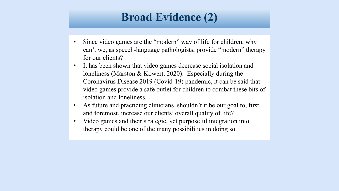### **Broad Evidence (2)**

- Since video games are the "modern" way of life for children, why can't we, as speech-language pathologists, provide "modern" therapy for our clients?
- It has been shown that video games decrease social isolation and loneliness (Marston & Kowert, 2020). Especially during the Coronavirus Disease 2019 (Covid-19) pandemic, it can be said that video games provide a safe outlet for children to combat these bits of isolation and loneliness.
- As future and practicing clinicians, shouldn't it be our goal to, first and foremost, increase our clients' overall quality of life?
- Video games and their strategic, yet purposeful integration into therapy could be one of the many possibilities in doing so.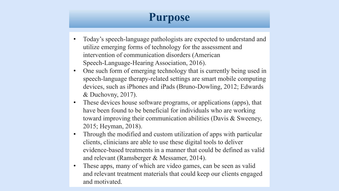## **Purpose**

- Today's speech-language pathologists are expected to understand and utilize emerging forms of technology for the assessment and intervention of communication disorders (American Speech-Language-Hearing Association, 2016).
- One such form of emerging technology that is currently being used in speech-language therapy-related settings are smart mobile computing devices, such as iPhones and iPads (Bruno-Dowling, 2012; Edwards & Duchovny, 2017).
- These devices house software programs, or applications (apps), that have been found to be beneficial for individuals who are working toward improving their communication abilities (Davis & Sweeney, 2015; Heyman, 2018).
- Through the modified and custom utilization of apps with particular clients, clinicians are able to use these digital tools to deliver evidence-based treatments in a manner that could be defined as valid and relevant (Ramsberger & Messamer, 2014).
- These apps, many of which are video games, can be seen as valid and relevant treatment materials that could keep our clients engaged and motivated.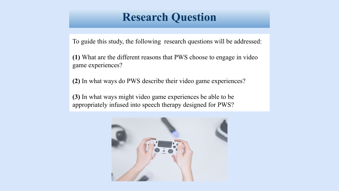#### **Research Question**

To guide this study, the following research questions will be addressed:

**(1)** What are the different reasons that PWS choose to engage in video game experiences?

**(2)** In what ways do PWS describe their video game experiences?

**(3)** In what ways might video game experiences be able to be appropriately infused into speech therapy designed for PWS?

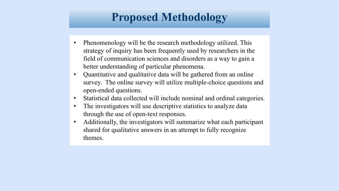## **Proposed Methodology**

- Phenomenology will be the research methodology utilized. This strategy of inquiry has been frequently used by researchers in the field of communication sciences and disorders as a way to gain a better understanding of particular phenomena.
- Quantitative and qualitative data will be gathered from an online survey. The online survey will utilize multiple-choice questions and open-ended questions.
- Statistical data collected will include nominal and ordinal categories.
- The investigators will use descriptive statistics to analyze data through the use of open-text responses.
- Additionally, the investigators will summarize what each participant shared for qualitative answers in an attempt to fully recognize themes.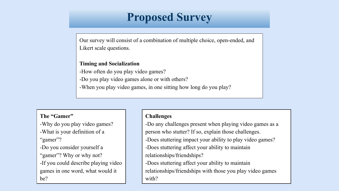### **Proposed Survey**

Our survey will consist of a combination of multiple choice, open-ended, and Likert scale questions.

#### **Timing and Socialization**

-How often do you play video games?

-Do you play video games alone or with others?

-When you play video games, in one sitting how long do you play?

#### **The "Gamer"**

-Why do you play video games?

- -What is your definition of a "gamer"?
- -Do you consider yourself a
- "gamer"? Why or why not?
- -If you could describe playing video games in one word, what would it be?

#### **Challenges**

-Do any challenges present when playing video games as a person who stutter? If so, explain those challenges.

- -Does stuttering impact your ability to play video games?
- -Does stuttering affect your ability to maintain relationships/friendships?
- -Does stuttering affect your ability to maintain

relationships/friendships with those you play video games with?